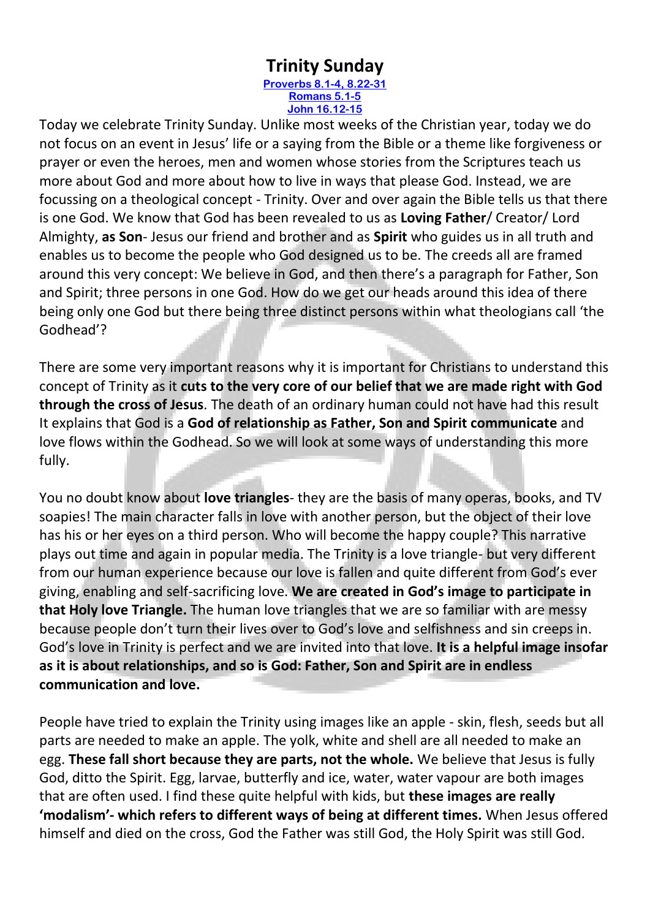## **Trinity Sunday**

**[Proverbs 8.1-4, 8.22-31](https://www.biblegateway.com/passage/?search=Proverbs+8%3A1-4%2CProverbs+8%3A22-31&version=NIV) [Romans 5.1-5](https://www.biblegateway.com/passage/?search=Romans+5.1-5&version=NIV) [John 16.12-15](https://www.biblegateway.com/passage/?search=John+16.12-15&version=NIV)**

Today we celebrate Trinity Sunday. Unlike most weeks of the Christian year, today we do not focus on an event in Jesus' life or a saying from the Bible or a theme like forgiveness or prayer or even the heroes, men and women whose stories from the Scriptures teach us more about God and more about how to live in ways that please God. Instead, we are focussing on a theological concept - Trinity. Over and over again the Bible tells us that there is one God. We know that God has been revealed to us as **Loving Father**/ Creator/ Lord Almighty, **as Son**- Jesus our friend and brother and as **Spirit** who guides us in all truth and enables us to become the people who God designed us to be. The creeds all are framed around this very concept: We believe in God, and then there's a paragraph for Father, Son and Spirit; three persons in one God. How do we get our heads around this idea of there being only one God but there being three distinct persons within what theologians call 'the Godhead'?

There are some very important reasons why it is important for Christians to understand this concept of Trinity as it **cuts to the very core of our belief that we are made right with God through the cross of Jesus**. The death of an ordinary human could not have had this result It explains that God is a **God of relationship as Father, Son and Spirit communicate** and love flows within the Godhead. So we will look at some ways of understanding this more fully.

You no doubt know about **love triangles**- they are the basis of many operas, books, and TV soapies! The main character falls in love with another person, but the object of their love has his or her eyes on a third person. Who will become the happy couple? This narrative plays out time and again in popular media. The Trinity is a love triangle- but very different from our human experience because our love is fallen and quite different from God's ever giving, enabling and self-sacrificing love. **We are created in God's image to participate in that Holy love Triangle.** The human love triangles that we are so familiar with are messy because people don't turn their lives over to God's love and selfishness and sin creeps in. God's love in Trinity is perfect and we are invited into that love. **It is a helpful image insofar as it is about relationships, and so is God: Father, Son and Spirit are in endless communication and love.**

People have tried to explain the Trinity using images like an apple - skin, flesh, seeds but all parts are needed to make an apple. The yolk, white and shell are all needed to make an egg. **These fall short because they are parts, not the whole.** We believe that Jesus is fully God, ditto the Spirit. Egg, larvae, butterfly and ice, water, water vapour are both images that are often used. I find these quite helpful with kids, but **these images are really 'modalism'- which refers to different ways of being at different times.** When Jesus offered himself and died on the cross, God the Father was still God, the Holy Spirit was still God.